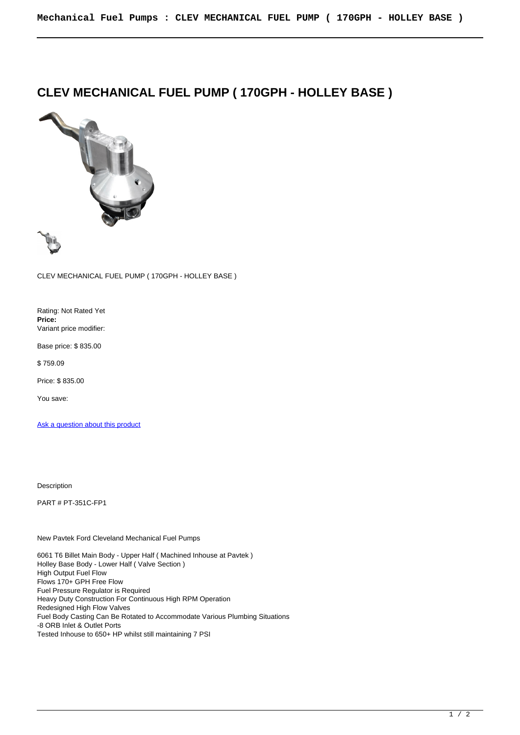## **CLEV MECHANICAL FUEL PUMP ( 170GPH - HOLLEY BASE )**



CLEV MECHANICAL FUEL PUMP ( 170GPH - HOLLEY BASE )

Rating: Not Rated Yet **Price:**  Variant price modifier:

Base price: \$ 835.00

\$ 759.09

Price: \$ 835.00

You save:

Ask a question about this product

Description

PART # PT-351C-FP1

New Pavtek Ford Cleveland Mechanical Fuel Pumps

6061 T6 Billet Main Body - Upper Half ( Machined Inhouse at Pavtek ) Holley Base Body - Lower Half ( Valve Section ) High Output Fuel Flow Flows 170+ GPH Free Flow Fuel Pressure Regulator is Required Heavy Duty Construction For Continuous High RPM Operation Redesigned High Flow Valves Fuel Body Casting Can Be Rotated to Accommodate Various Plumbing Situations -8 ORB Inlet & Outlet Ports Tested Inhouse to 650+ HP whilst still maintaining 7 PSI